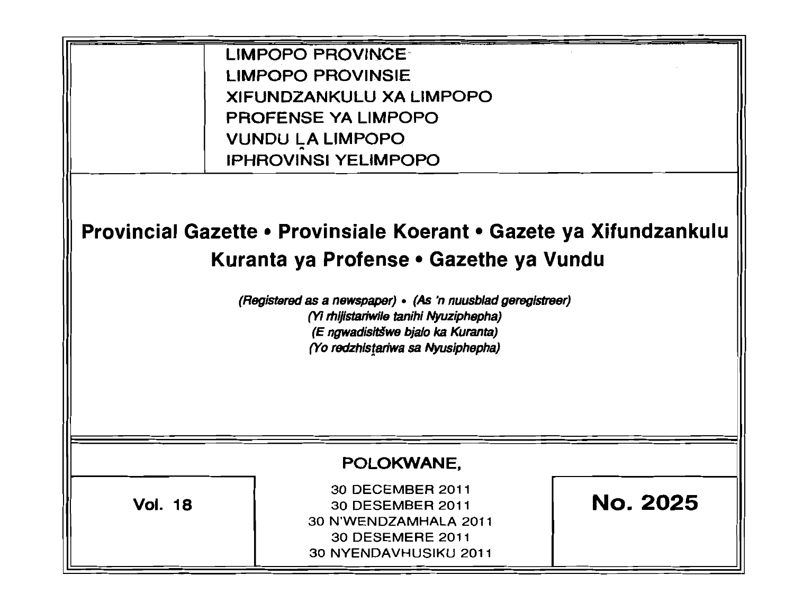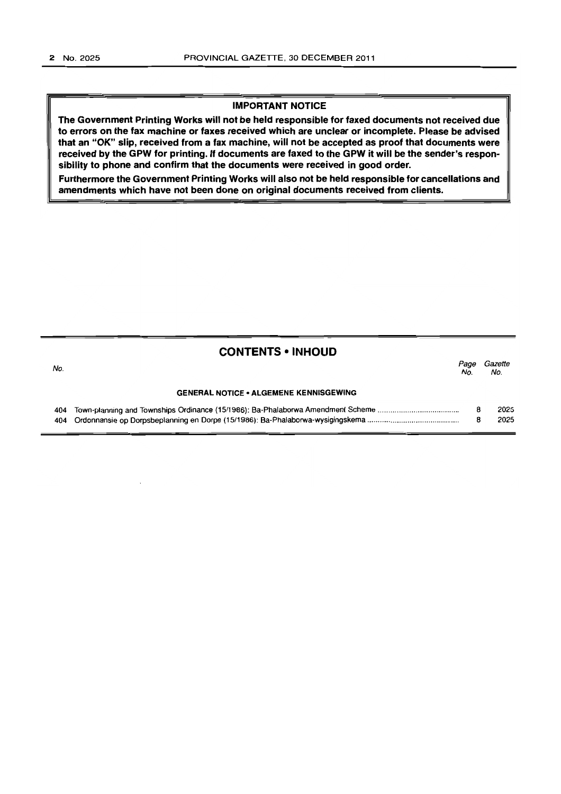#### IMPORTANT NOTICE

The Government Printing Works will not be held responsible for faxed documents not received due to errors on the fax machine or faxes received which are unclear or incomplete. Please be advised that an "OK" slip, received from a fax machine, will not be accepted as proof that documents were received by the GPW for printing. If documents are faxed to the GPW it will be the sender's responsibility to phone and confirm that the documents were received in good order.

Furthermore the Government Printing Works will also not be held responsible for cancellations and amendments which have not been done on original documents received from clients.

#### **CONTENTS • INHOUD**

| No. |                                               | Page<br>No. | Gazette<br>No. |
|-----|-----------------------------------------------|-------------|----------------|
|     | <b>GENERAL NOTICE • ALGEMENE KENNISGEWING</b> |             |                |
|     |                                               |             | 2025           |
|     |                                               |             | 2025           |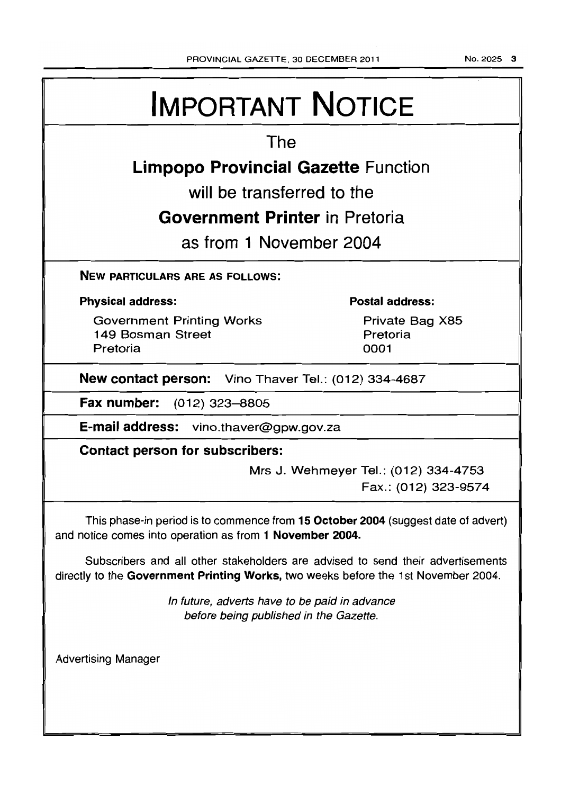NO.2025 3

# **IMPORTANT NOTICE**

# **The**

# **Limpopo Provincial Gazette Function**

**will be transferred to the** 

# **Government Printer in Pretoria**

**as from 1 November 2004** 

## **NEW PARTICULARS ARE AS FOLLOWS:**

## **Physical address:**

Government Printing Works 149 Bosman Street Pretoria

## **Postal address:**

Private Bag X85 Pretoria 0001

**New contact person:** Vino Thaver Tel.: (012) 334-4687

**Fax number:** (012) 323-8805

**E-mail address:** vino.thaver@gpw.gov.za

**Contact person for subscribers:** 

Mrs J. Wehmeyer Tel.: (012) 334-4753 Fax.: (012) 323-9574

This phase-in period is to commence from **15 October 2004** (suggest date of advert) and notice comes into operation as from **1 November 2004.** 

Subscribers and all other stakeholders are advised to send their advertisements directly to the **Government Printing Works,** two weeks before the 1 st November 2004.

> In future, adverts have to be paid in advance before being published in the Gazette.

Advertising Manager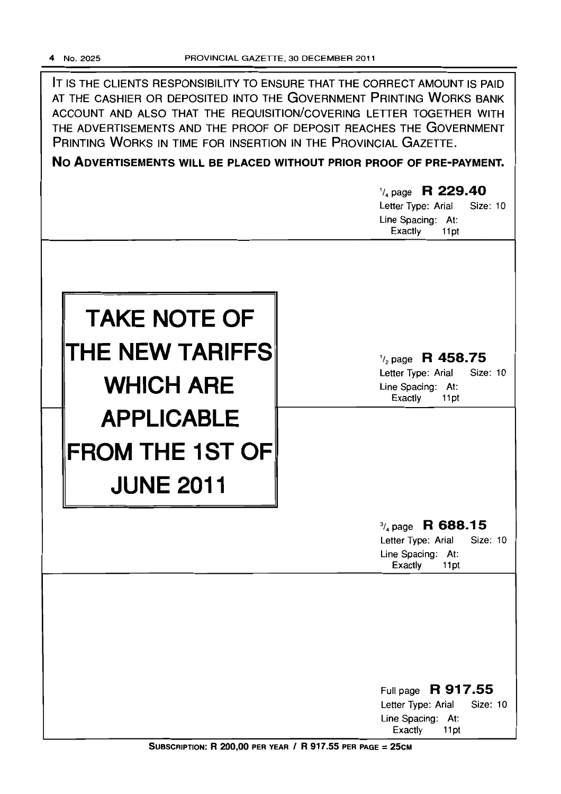IT IS THE CLIENTS RESPONSIBILITY TO ENSURE THAT THE CORRECT AMOUNT IS PAID AT THE CASHIER OR DEPOSITED INTO THE GOVERNMENT PRINTING WORKS BANK ACCOUNT AND ALSO THAT THE REQUISITION/COVERING LETTER TOGETHER WITH THE ADVERTISEMENTS AND THE PROOF OF DEPOSIT REACHES THE GOVERNMENT PRINTING WORKS IN TIME FOR INSERTION IN THE PROVINCIAL GAZETTE.

**No ADVERTISEMENTS WILL BE PLACED WITHOUT PRIOR PROOF OF PRE-PAYMENT.** 

|                                                                 | $\frac{1}{4}$ page R 229.40<br>Size: 10<br>Letter Type: Arial<br>Line Spacing: At:<br>Exactly<br>11pt |
|-----------------------------------------------------------------|-------------------------------------------------------------------------------------------------------|
| <b>TAKE NOTE OF</b><br>THE NEW TARIFFS<br><b>WHICH ARE</b>      | $\frac{1}{2}$ page R 458.75<br>Letter Type: Arial<br>Size: 10<br>Line Spacing: At:<br>Exactly<br>11pt |
| <b>APPLICABLE</b><br><b>FROM THE 1ST OF</b><br><b>JUNE 2011</b> |                                                                                                       |
|                                                                 | $\frac{3}{4}$ page R 688.15<br>Letter Type: Arial<br>Size: 10<br>Line Spacing: At:<br>Exactly<br>11pt |
|                                                                 | Full page R 917.55<br>Letter Type: Arial<br>Size: 10                                                  |
|                                                                 | Line Spacing: At:<br>Exactly<br>11pt                                                                  |

SUBSCRIPTION: R 200,00 PER YEAR / R 917.55 PER PAGE = 25CM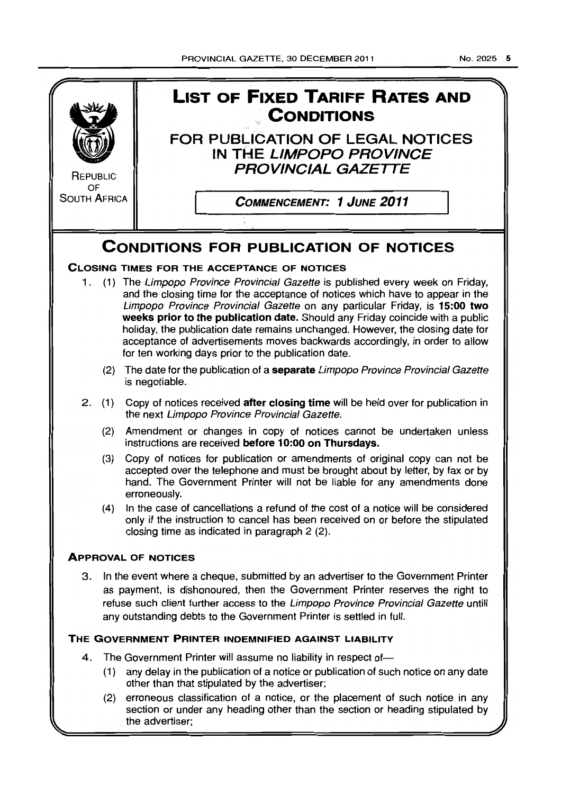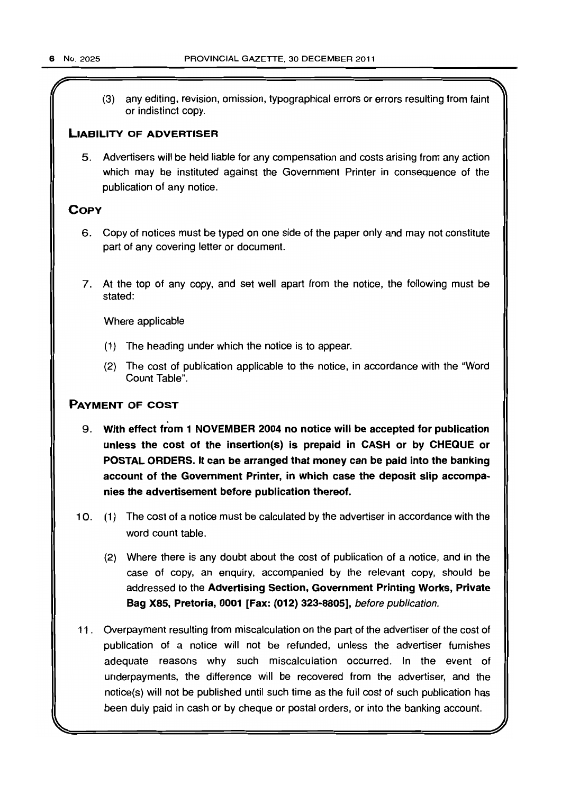(3) any editing, revision, omission, typographical errors or errors resulting from faint or indistinct copy.

#### LIABILITY OF ADVERTISER

5. Advertisers will be held liable for any compensation and costs arising from any action which may be instituted against the Government Printer in consequence of the publication of any notice.

#### **COPY**

- 6. Copy of notices must be typed on one side of the paper only and may not constitute part of any covering letter or document.
- 7. At the top of any copy, and set well apart from the notice, the following must be stated:

Where applicable

- (1) The heading under which the notice is to appear.
- (2) The cost of publication applicable to the notice, in accordance with the "Word Count Table",

#### PAYMENT OF COST

- 9, With effect from 1 NOVEMBER 2004 no notice will be accepted for publication unless the cost of the insertion(s) is prepaid in CASH or by CHEQUE or POSTAL ORDERS. It can be arranged that money can be paid into the banking account of the Government Printer, in which case the deposit slip accompanies the advertisement before publication thereof.
- 10. (1) The cost of a notice must be calculated by the advertiser in accordance with the word count table.
	- (2) Where there is any doubt about the cost of publication of a notice, and in the case of copy, an enquiry. accompanied by the relevant copy, should be addressed to the Advertising Section, Government Printing Works, Private Bag X85, Pretoria, 0001 [Fax: (012) 323-8805], before publication.
- 11. Overpayment resulting from miscalculation on the part of the advertiser of the cost of publication of a notice will not be refunded, unless the advertiser furnishes adequate reasons why such miscalculation occurred. In the event of underpayments, the difference will be recovered from the advertiser, and the notice(s) will not be published until such time as the full cost of such publication has been duly paid in cash or by cheque or postal orders, or into the banking account.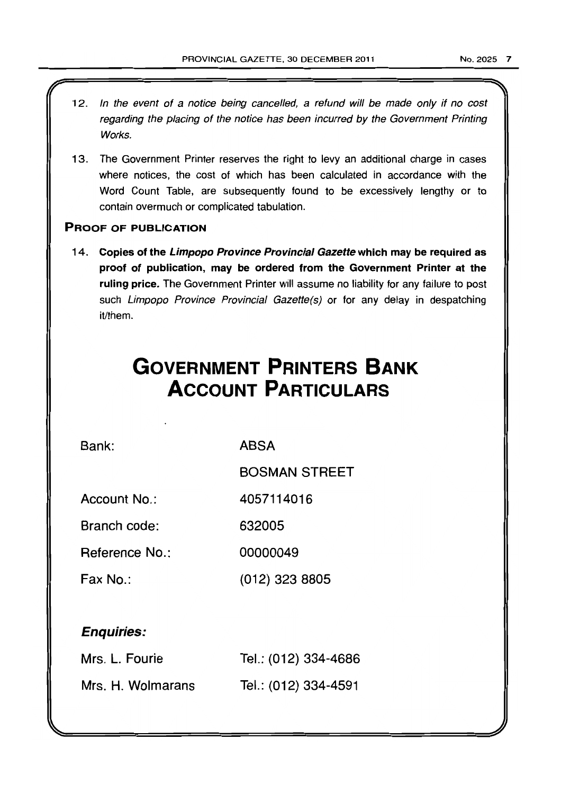- 12. In the event of a notice being cancelled, a refund will be made only if no cost regarding the placing of the notice has been incurred by the Government Printing Works.
- 13. The Government Printer reserves the right to levy an additional charge in cases where notices, the cost of which has been calculated in accordance with the Word Count Table, are subsequently found to be excessively lengthy or to contain overmuch or complicated tabulation.

#### PROOF OF PUBLICATION

14. Copies of the Limpopo Province Provincial Gazette which may be required as proof of publication, may be ordered from the Government Printer at the ruling price. The Government Printer will assume no liability for any failure to post such Limpopo Province Provincial Gazette(s) or for any delay in despatching it/them.

# **GOVERNMENT PRINTERS BANK ACCOUNT PARTICULARS**

Bank:

ABSA

BOSMAN STREET

Account No.: 4057114016

Branch code: 632005

Reference No.: 00000049

Fax No.: (012) 323 8805

## Enquiries:

| Mrs. L. Fourie    | Tel.: (012) 334-4686 |
|-------------------|----------------------|
| Mrs. H. Wolmarans | Tel.: (012) 334-4591 |